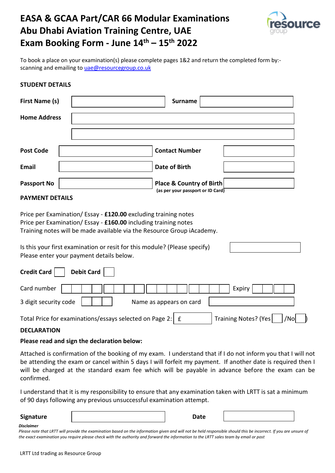# **EASA & GCAA Part/CAR 66 Modular Examinations Abu Dhabi Aviation Training Centre, UAE Exam Booking Form - June 14th – 15th 2022**



To book a place on your examination(s) please complete pages 1&2 and return the completed form by: scanning and emailing t[o uae@resourcegroup.co.uk](mailto:uae@resourcegroup.co.uk)

## **STUDENT DETAILS**

| <b>First Name (s)</b> | <b>Surname</b>                                                |
|-----------------------|---------------------------------------------------------------|
| <b>Home Address</b>   |                                                               |
|                       |                                                               |
| <b>Post Code</b>      | <b>Contact Number</b>                                         |
| <b>Email</b>          | <b>Date of Birth</b>                                          |
| <b>Passport No</b>    | Place & Country of Birth<br>(as per your passport or ID Card) |
| . <b>. .</b>          |                                                               |

## **PAYMENT DETAILS**

Price per Examination/ Essay - **£120.00** excluding training notes Price per Examination/ Essay - **£160.00** including training notes Training notes will be made available via the Resource Group iAcademy.

Is this your first examination or resit for this module? (Please specify) Please enter your payment details below.

| <b>Debit Card</b><br>Credit Card                                                                                                                                                                                                         |
|------------------------------------------------------------------------------------------------------------------------------------------------------------------------------------------------------------------------------------------|
| Card number $\vert$<br>Expiry                                                                                                                                                                                                            |
| 3 digit security code<br>Name as appears on card                                                                                                                                                                                         |
| 75 L.I<br>$\pm$ . In the contract of the contract of the contract of the contract of the contract of the contract of the contract of the contract of the contract of the contract of the contract of the contract of the contract of the |

Total Price for examinations/essays selected on Page 2:  $\mid$  £  $\mid$  Training Notes? (Yes  $\mid$  /No  $\mid$  )

## **DECLARATION**

### **Please read and sign the declaration below:**

Attached is confirmation of the booking of my exam. I understand that if I do not inform you that I will not be attending the exam or cancel within 5 days I will forfeit my payment. If another date is required then I will be charged at the standard exam fee which will be payable in advance before the exam can be confirmed.

I understand that it is my responsibility to ensure that any examination taken with LRTT is sat a minimum of 90 days following any previous unsuccessful examination attempt.

## **Signature Date**

#### *Disclaimer*

*Please note that LRTT will provide the examination based on the information given and will not be held responsible should this be incorrect. If you are unsure of the exact examination you require please check with the authority and forward the information to the LRTT sales team by email or post*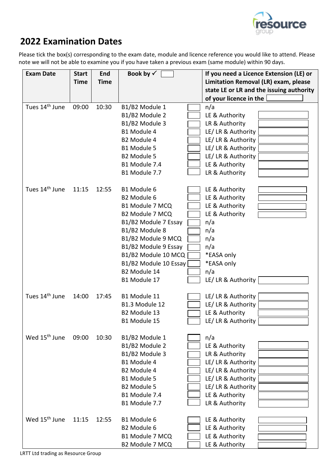

## **2022 Examination Dates**

Please tick the box(s) corresponding to the exam date, module and licence reference you would like to attend. Please note we will not be able to examine you if you have taken a previous exam (same module) within 90 days.

| <b>Exam Date</b>           | <b>Start</b> | <b>End</b>  | Book by $\checkmark$  | If you need a Licence Extension (LE) or  |  |
|----------------------------|--------------|-------------|-----------------------|------------------------------------------|--|
|                            | <b>Time</b>  | <b>Time</b> |                       | Limitation Removal (LR) exam, please     |  |
|                            |              |             |                       | state LE or LR and the issuing authority |  |
|                            |              |             |                       | of your licence in the                   |  |
| Tues 14 <sup>th</sup> June | 09:00        | 10:30       | B1/B2 Module 1        | n/a                                      |  |
|                            |              |             | B1/B2 Module 2        | LE & Authority                           |  |
|                            |              |             | B1/B2 Module 3        | LR & Authority                           |  |
|                            |              |             | B1 Module 4           | LE/ LR & Authority                       |  |
|                            |              |             | B2 Module 4           | LE/ LR & Authority                       |  |
|                            |              |             | B1 Module 5           | LE/ LR & Authority                       |  |
|                            |              |             | B2 Module 5           | LE/ LR & Authority                       |  |
|                            |              |             | B1 Module 7.4         | LE & Authority                           |  |
|                            |              |             | B1 Module 7.7         | LR & Authority                           |  |
|                            |              |             |                       |                                          |  |
| Tues 14 <sup>th</sup> June | 11:15        | 12:55       | B1 Module 6           | LE & Authority                           |  |
|                            |              |             | B2 Module 6           | LE & Authority                           |  |
|                            |              |             | B1 Module 7 MCQ       | LE & Authority                           |  |
|                            |              |             | B2 Module 7 MCQ       | LE & Authority                           |  |
|                            |              |             | B1/B2 Module 7 Essay  | n/a                                      |  |
|                            |              |             | B1/B2 Module 8        | n/a                                      |  |
|                            |              |             | B1/B2 Module 9 MCQ    | n/a                                      |  |
|                            |              |             | B1/B2 Module 9 Essay  | n/a                                      |  |
|                            |              |             | B1/B2 Module 10 MCQ   | *EASA only                               |  |
|                            |              |             | B1/B2 Module 10 Essay | *EASA only                               |  |
|                            |              |             | B2 Module 14          | n/a                                      |  |
|                            |              |             | B1 Module 17          | LE/ LR & Authority                       |  |
|                            |              |             |                       |                                          |  |
| Tues 14 <sup>th</sup> June | 14:00        | 17:45       | B1 Module 11          | LE/ LR & Authority                       |  |
|                            |              |             | B1.3 Module 12        | LE/ LR & Authority                       |  |
|                            |              |             | B2 Module 13          | LE & Authority                           |  |
|                            |              |             | B1 Module 15          | LE/ LR & Authority                       |  |
|                            |              |             |                       |                                          |  |
| Wed 15 <sup>th</sup> June  | 09:00        | 10:30       | B1/B2 Module 1        | n/a                                      |  |
|                            |              |             | B1/B2 Module 2        | LE & Authority                           |  |
|                            |              |             | B1/B2 Module 3        | LR & Authority                           |  |
|                            |              |             | B1 Module 4           | LE/ LR & Authority                       |  |
|                            |              |             | B2 Module 4           | LE/ LR & Authority                       |  |
|                            |              |             | B1 Module 5           | LE/ LR & Authority                       |  |
|                            |              |             | B2 Module 5           | LE/ LR & Authority                       |  |
|                            |              |             | B1 Module 7.4         | LE & Authority                           |  |
|                            |              |             | B1 Module 7.7         | LR & Authority                           |  |
|                            |              |             |                       |                                          |  |
| Wed 15 <sup>th</sup> June  | 11:15        | 12:55       | B1 Module 6           | LE & Authority                           |  |
|                            |              |             | B2 Module 6           | LE & Authority                           |  |
|                            |              |             | B1 Module 7 MCQ       | LE & Authority                           |  |
|                            |              |             | B2 Module 7 MCQ       | LE & Authority                           |  |

LRTT Ltd trading as Resource Group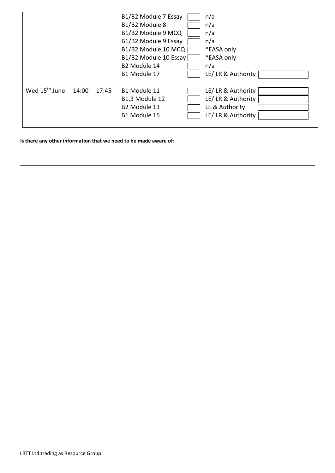|                           |       |       | B1/B2 Module 7 Essay     | n/a                |
|---------------------------|-------|-------|--------------------------|--------------------|
|                           |       |       | B1/B2 Module 8           | n/a                |
|                           |       |       | B1/B2 Module 9 MCQ       | n/a                |
|                           |       |       | B1/B2 Module 9 Essay     | n/a                |
|                           |       |       | B1/B2 Module 10 MCQ      | *EASA only         |
|                           |       |       | B1/B2 Module 10 Essay    | *EASA only         |
|                           |       |       | B2 Module 14             | n/a                |
|                           |       |       | B1 Module 17             | LE/ LR & Authority |
|                           |       |       |                          |                    |
| Wed 15 <sup>th</sup> June | 14:00 | 17:45 | B1 Module 11             | LE/ LR & Authority |
|                           |       |       | B1.3 Module 12           | LE/ LR & Authority |
|                           |       |       | B <sub>2</sub> Module 13 | LE & Authority     |
|                           |       |       | B1 Module 15             | LE/ LR & Authority |
|                           |       |       |                          |                    |

**Is there any other information that we need to be made aware of:**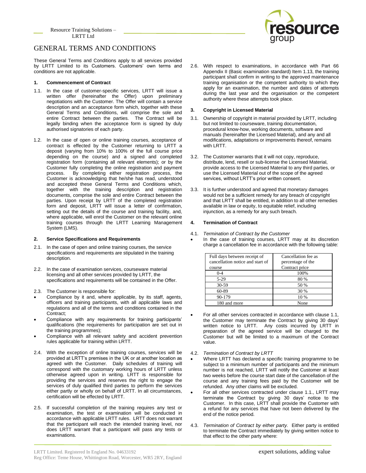Resource Training Solutions – LRTT Ltd



## GENERAL TERMS AND CONDITIONS

These General Terms and Conditions apply to all services provided by LRTT Limited to its Customers. Customers' own terms and conditions are not applicable.

### **1. Commencement of Contract**

- 1.1. In the case of customer-specific services, LRTT will issue a written offer (hereinafter the Offer) upon preliminary negotiations with the Customer. The Offer will contain a service description and an acceptance form which, together with these General Terms and Conditions, will comprise the sole and entire Contract between the parties. The Contract will be legally binding when the acceptance form is signed by duly authorised signatories of each party.
- 1.2. In the case of open or online training courses, acceptance of contract is effected by the Customer returning to LRTT a deposit (varying from 10% to 100% of the full course price depending on the course) and a signed and completed registration form (containing all relevant elements); or by the Customer fully completing the online registration and payment process. By completing either registration process, the Customer is acknowledging that he/she has read, understood and accepted these General Terms and Conditions which, together with the training description and registration documents, comprise the sole and entire Contract between the parties. Upon receipt by LRTT of the completed registration form and deposit, LRTT will issue a letter of confirmation, setting out the details of the course and training facility, and, where applicable, will enrol the Customer on the relevant online training courses through the LRTT Learning Management System (LMS).

#### **2. Service Specifications and Requirements**

- 2.1. In the case of open and online training courses, the service specifications and requirements are stipulated in the training description.
- 2.2. In the case of examination services, courseware material licensing and all other services provided by LRTT, the specifications and requirements will be contained in the Offer.
- 2.3. The Customer is responsible for:
- Compliance by it and, where applicable, by its staff, agents, officers and training participants, with all applicable laws and regulations and all of the terms and conditions contained in the Contract;
- Compliance with any requirements for training participants' qualifications (the requirements for participation are set out in the training programmes);
- Compliance with all relevant safety and accident prevention rules applicable for training within LRTT.
- 2.4. With the exception of online training courses, services will be provided at LRTT's premises in the UK or at another location as agreed with the Customer. Daily schedules of training will correspond with the customary working hours of LRTT unless otherwise agreed upon in writing. LRTT is responsible for providing the services and reserves the right to engage the services of duly qualified third parties to perform the services either partly or wholly on behalf of LRTT. In all circumstances, certification will be effected by LRTT.
- 2.5. If successful completion of the training requires any test or examination, the test or examination will be conducted in accordance with applicable LRTT rules. LRTT does not warrant that the participant will reach the intended training level, nor does LRTT warrant that a participant will pass any tests or examinations.

2.6. With respect to examinations, in accordance with Part 66 Appendix II (Basic examination standard) Item 1.13, the training participant shall confirm in writing to the approved maintenance training organisation or the competent authority to which they apply for an examination, the number and dates of attempts during the last year and the organisation or the competent authority where these attempts took place.

#### **3. Copyright in Licensed Material**

- 3.1. Ownership of copyright in material provided by LRTT, including but not limited to courseware, training documentation, procedural know-how, working documents, software and manuals (hereinafter the Licensed Material), and any and all modifications, adaptations or improvements thereof, remains with LRTT.
- 3.2. The Customer warrants that it will not copy, reproduce, distribute, lend, resell or sub-license the Licensed Material, provide access to the Licensed Material to any third parties, or use the Licensed Material out of the scope of the agreed services, without LRTT's prior written consent.
- 3.3. It is further understood and agreed that monetary damages would not be a sufficient remedy for any breach of copyright and that LRTT shall be entitled, in addition to all other remedies available in law or equity, to equitable relief, including injunction, as a remedy for any such breach.

#### **4. Termination of Contract**

- 4.1. *Termination of Contract by the Customer*
- In the case of training courses, LRTT may at its discretion charge a cancellation fee in accordance with the following table:

| Full days between receipt of     | Cancellation fee as |
|----------------------------------|---------------------|
| cancellation notice and start of | percentage of the   |
| course                           | Contract price      |
| $0 - 4$                          | 100%                |
| $5-29$                           | 80 %                |
| 30-59                            | 50 %                |
| 60-89                            | 30 %                |
| 90-179                           | 10 %                |
| 180 and more                     | None                |

- For all other services contracted in accordance with clause 1.1, the Customer may terminate the Contract by giving 30 days' written notice to LRTT. Any costs incurred by LRTT in preparation of the agreed service will be charged to the Customer but will be limited to a maximum of the Contract value.
- 4.2. *Termination of Contract by LRTT*
- Where LRTT has declared a specific training programme to be subject to a minimum number of participants and the minimum number is not reached, LRTT will notify the Customer at least two weeks before the course start date of the cancellation of the course and any training fees paid by the Customer will be refunded. Any other claims will be excluded.
- For all other services contracted under clause 1.1., LRTT may terminate the Contract by giving 30 days' notice to the Customer. In this case, LRTT shall provide the Customer with a refund for any services that have not been delivered by the end of the notice period.
- 4.3. *Termination of Contract by either party.* Either party is entitled to terminate the Contract immediately by giving written notice to that effect to the other party where: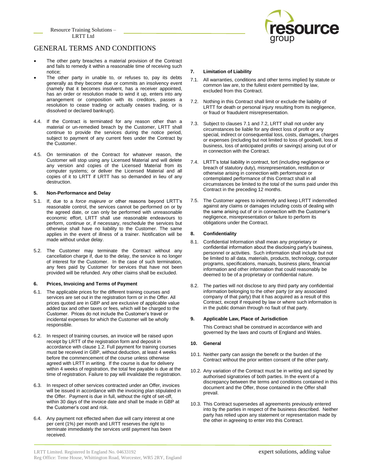

## GENERAL TERMS AND CONDITIONS

- The other party breaches a material provision of the Contract and fails to remedy it within a reasonable time of receiving such notice;
- The other party in unable to, or refuses to, pay its debts generally as they become due or commits an insolvency event (namely that it becomes insolvent, has a receiver appointed, has an order or resolution made to wind it up, enters into any arrangement or composition with its creditors, passes a resolution to cease trading or actually ceases trading, or is dissolved or declared bankrupt).
- 4.4. If the Contract is terminated for any reason other than a material or un-remedied breach by the Customer, LRTT shall continue to provide the services during the notice period, subject to payment of any current fees under the Contract by the Customer.
- 4.5. On termination of the Contract for whatever reason, the Customer will stop using any Licensed Material and will delete any version and copies of the Licensed Material from its computer systems; or deliver the Licensed Material and all copies of it to LRTT if LRTT has so demanded in lieu of any destruction.

#### **5. Non-Performance and Delay**

- 5.1. If, due to a *force majeure* or other reasons beyond LRTT's reasonable control, the services cannot be performed on or by the agreed date, or can only be performed with unreasonable economic effort, LRTT shall use reasonable endeavours to perform, continue or, if necessary, reschedule the services but otherwise shall have no liability to the Customer. The same applies in the event of illness of a trainer. Notification will be made without undue delay.
- 5.2. The Customer may terminate the Contract without any cancellation charge if, due to the delay, the service is no longer of interest for the Customer. In the case of such termination, any fees paid by Customer for services that have not been provided will be refunded. Any other claims shall be excluded.

#### **6. Prices, Invoicing and Terms of Payment**

- 6.1. The applicable prices for the different training courses and services are set out in the registration form or in the Offer. All prices quoted are in GBP and are exclusive of applicable value added tax and other taxes or fees, which will be charged to the Customer. Prices do not include the Customer's travel or incidental expenses for which the Customer will be wholly responsible.
- 6.2. In respect of training courses, an invoice will be raised upon receipt by LRTT of the registration form and deposit in accordance with clause 1.2. Full payment for training courses must be received in GBP, without deduction, at least 4 weeks before the commencement of the course unless otherwise agreed with LRTT in writing. If the course is due for delivery within 4 weeks of registration, the total fee payable is due at the time of registration. Failure to pay will invalidate the registration.
- 6.3. In respect of other services contracted under an Offer, invoices will be issued in accordance with the invoicing plan stipulated in the Offer. Payment is due in full, without the right of set-off, within 30 days of the invoice date and shall be made in GBP at the Customer's cost and risk.
- 6.4. Any payment not effected when due will carry interest at one per cent (1%) per month and LRTT reserves the right to terminate immediately the services until payment has been received.

#### **7. Limitation of Liability**

- 7.1. All warranties, conditions and other terms implied by statute or common law are, to the fullest extent permitted by law, excluded from this Contract.
- 7.2. Nothing in this Contract shall limit or exclude the liability of LRTT for death or personal injury resulting from its negligence, or fraud or fraudulent misrepresentation.
- 7.3. Subject to clauses 7.1 and 7.2, LRTT shall not under any circumstances be liable for any direct loss of profit or any special, indirect or consequential loss, costs, damages, charges or expenses (including but not limited to loss of goodwill, loss of business, loss of anticipated profits or savings) arising out of or in connection with the Contract.
- 7.4. LRTT's total liability in contract, tort (including negligence or breach of statutory duty), misrepresentation, restitution or otherwise arising in connection with performance or contemplated performance of this Contract shall in all circumstances be limited to the total of the sums paid under this Contract in the preceding 12 months.
- 7.5. The Customer agrees to indemnify and keep LRTT indemnified against any claims or damages including costs of dealing with the same arising out of or in connection with the Customer's negligence, misrepresentation or failure to perform its obligations under the Contract.

#### **8. Confidentiality**

- 8.1. Confidential Information shall mean any proprietary or confidential information about the disclosing party's business, personnel or activities. Such information shall include but not be limited to all data, materials, products, technology, computer programs, specifications, manuals, business plans, financial information and other information that could reasonably be deemed to be of a proprietary or confidential nature.
- 8.2. The parties will not disclose to any third party any confidential information belonging to the other party (or any associated company of that party) that it has acquired as a result of this Contract, except if required by law or where such information is in the public domain through no fault of that party.

#### **9. Applicable Law, Place of Jurisdiction**

This Contract shall be construed in accordance with and governed by the laws and courts of England and Wales.

#### **10. General**

- 10.1. Neither party can assign the benefit or the burden of the Contract without the prior written consent of the other party.
- 10.2. Any variation of the Contract must be in writing and signed by authorised signatories of both parties. In the event of a discrepancy between the terms and conditions contained in this document and the Offer, those contained in the Offer shall prevail.
- 10.3. This Contract supersedes all agreements previously entered into by the parties in respect of the business described. Neither party has relied upon any statement or representation made by the other in agreeing to enter into this Contract.